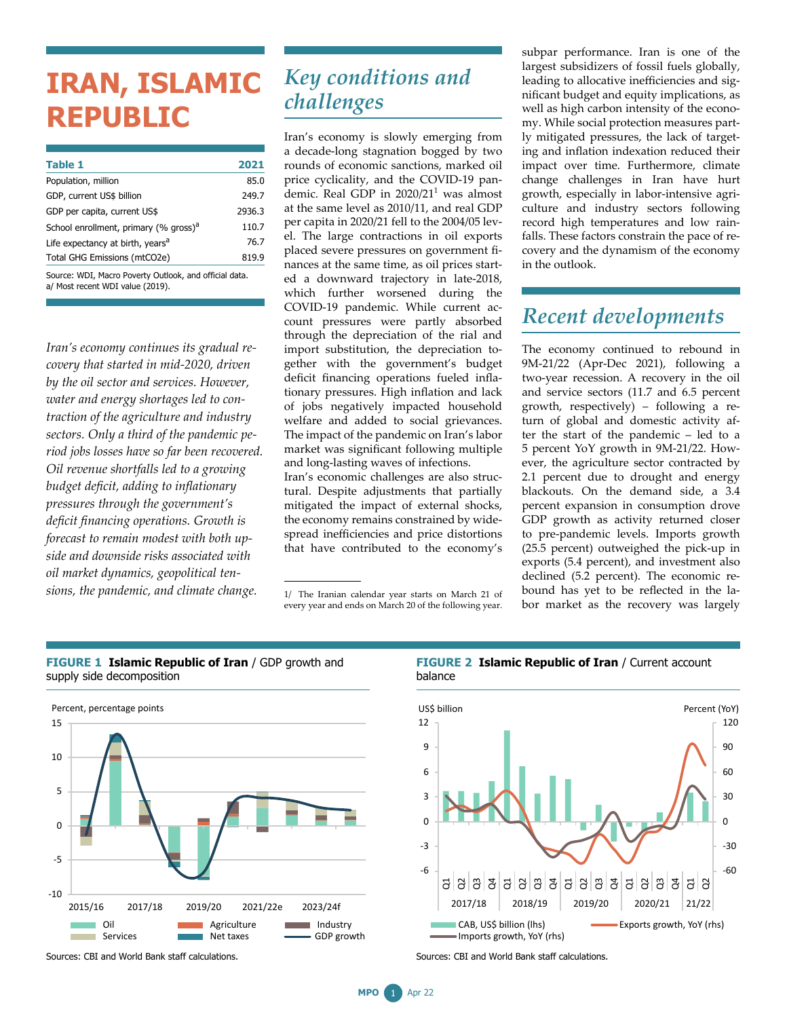# **IRAN, ISLAMIC REPUBLIC**

| Table 1                                           | 2021   |
|---------------------------------------------------|--------|
| Population, million                               | 85.0   |
| GDP, current US\$ billion                         | 249.7  |
| GDP per capita, current US\$                      | 2936.3 |
| School enrollment, primary (% gross) <sup>a</sup> | 110.7  |
| Life expectancy at birth, years <sup>a</sup>      | 76.7   |
| Total GHG Emissions (mtCO2e)                      | 819.9  |
|                                                   |        |

Source: WDI, Macro Poverty Outlook, and official data. a/ Most recent WDI value (2019).

*Iran's economy continues its gradual recovery that started in mid-2020, driven by the oil sector and services. However, water and energy shortages led to contraction of the agriculture and industry sectors. Only a third of the pandemic period jobs losses have so far been recovered. Oil revenue shortfalls led to a growing budget deficit, adding to inflationary pressures through the government's deficit financing operations. Growth is forecast to remain modest with both upside and downside risks associated with oil market dynamics, geopolitical tensions, the pandemic, and climate change.*

### *Key conditions and challenges*

Iran's economy is slowly emerging from a decade-long stagnation bogged by two rounds of economic sanctions, marked oil price cyclicality, and the COVID-19 pandemic. Real GDP in  $2020/21<sup>1</sup>$  was almost at the same level as 2010/11, and real GDP per capita in 2020/21 fell to the 2004/05 level. The large contractions in oil exports placed severe pressures on government finances at the same time, as oil prices started a downward trajectory in late-2018, which further worsened during the COVID-19 pandemic. While current account pressures were partly absorbed through the depreciation of the rial and import substitution, the depreciation together with the government's budget deficit financing operations fueled inflationary pressures. High inflation and lack of jobs negatively impacted household welfare and added to social grievances. The impact of the pandemic on Iran's labor market was significant following multiple and long-lasting waves of infections.

Iran's economic challenges are also structural. Despite adjustments that partially mitigated the impact of external shocks, the economy remains constrained by widespread inefficiencies and price distortions that have contributed to the economy's

1/ The Iranian calendar year starts on March 21 of every year and ends on March 20 of the following year. subpar performance. Iran is one of the largest subsidizers of fossil fuels globally, leading to allocative inefficiencies and significant budget and equity implications, as well as high carbon intensity of the economy. While social protection measures partly mitigated pressures, the lack of targeting and inflation indexation reduced their impact over time. Furthermore, climate change challenges in Iran have hurt growth, especially in labor-intensive agriculture and industry sectors following record high temperatures and low rainfalls. These factors constrain the pace of recovery and the dynamism of the economy in the outlook.

## *Recent developments*

The economy continued to rebound in 9M-21/22 (Apr-Dec 2021), following a two-year recession. A recovery in the oil and service sectors (11.7 and 6.5 percent growth, respectively) – following a return of global and domestic activity after the start of the pandemic – led to a 5 percent YoY growth in 9M-21/22. However, the agriculture sector contracted by 2.1 percent due to drought and energy blackouts. On the demand side, a 3.4 percent expansion in consumption drove GDP growth as activity returned closer to pre-pandemic levels. Imports growth (25.5 percent) outweighed the pick-up in exports (5.4 percent), and investment also declined (5.2 percent). The economic rebound has yet to be reflected in the labor market as the recovery was largely



#### **FIGURE 1 Islamic Republic of Iran** / GDP growth and supply side decomposition

Sources: CBI and World Bank staff calculations.

### **FIGURE 2 Islamic Republic of Iran** / Current account



Sources: CBI and World Bank staff calculations.